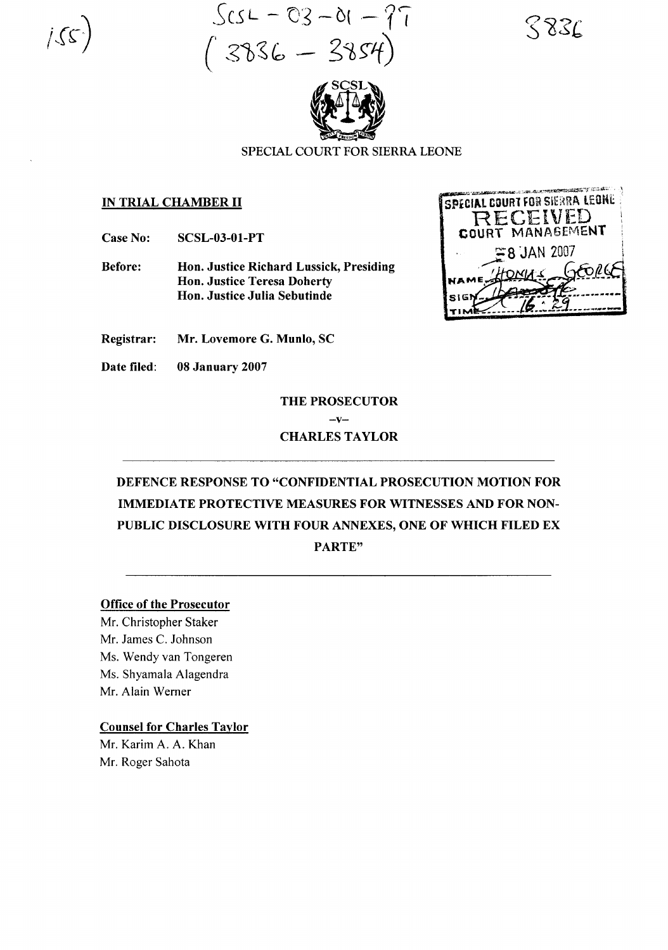$Scs - 03 - 01 - 77$  $(^{2386-3854})$ 





### SPECIAL COURT FOR SIERRA LEONE

#### IN TRIAL CHAMBER II

Case No: SCSL-03-01-PT

Before: Hon. Justice Richard Lussick, Presiding Hon. Justice Teresa Doherty Hon. Justice Julia Sebutinde



Registrar: Mr. Lovemore G. Munlo, SC

Date filed: 08 January 2007

# THE PROSECUTOR  $-v-$ CHARLES TAYLOR

# DEFENCE RESPONSE TO "CONFIDENTIAL PROSECUTION MOTION FOR IMMEDIATE PROTECTIVE MEASURES FOR WITNESSES AND FOR NON-PUBLIC DISCLOSURE WITH FOUR ANNEXES, ONE OF WHICH FILED EX PARTE"

#### Office of the Prosecutor

Mr. Christopher Staker Mr. James C. Johnson Ms. Wendy van Tongeren Ms. Shyamala Alagendra Mr. Alain Werner

#### Counsel for Charles Taylor

Mr. Karim A. A. Khan Mr. Roger Sahota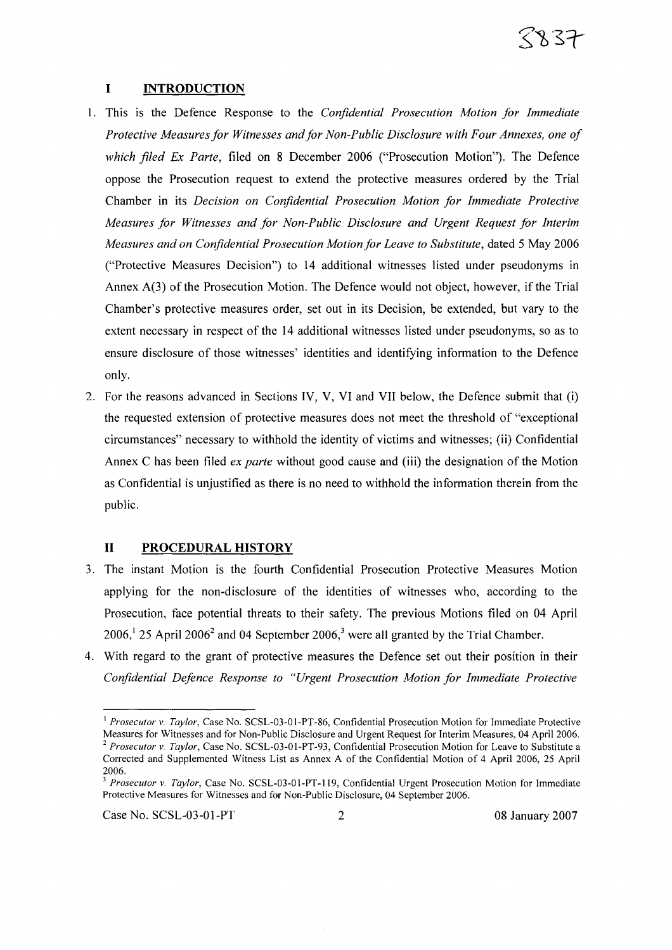#### **I INTRODUCTION**

- 1. This is the Defence Response to the *Confidential Prosecution Motion for Immediate Protective Measuresfor Witnesses andfor Non-Public Disclosure with Four Annexes, one of which filed Ex Parte,* filed on 8 December 2006 ("Prosecution Motion"). The Defence oppose the Prosecution request to extend the protective measures ordered by the Trial Chamber in its *Decision on Confidential Prosecution Motion for Immediate Protective Measures for Witnesses and for Non-Public Disclosure and Urgent Request for Interim Measures and on Confidential Prosecution Motion for Leave to Substitute,* dated 5 May 2006 ("Protective Measures Decision") to 14 additional witnesses listed under pseudonyms in Annex  $A(3)$  of the Prosecution Motion. The Defence would not object, however, if the Trial Chamber's protective measures order, set out in its Decision, be extended, but vary to the extent necessary in respect of the 14 additional witnesses listed under pseudonyms, so as to ensure disclosure of those witnesses' identities and identifying information to the Defence only.
- 2. For the reasons advanced in Sections IV, V, VI and VII below, the Defence submit that (i) the requested extension of protective measures does not meet the threshold of "exceptional circumstances" necessary to withhold the identity of victims and witnesses; (ii) Confidential Annex C has been filed *ex parte* without good cause and (iii) the designation of the Motion as Confidential is unjustified as there is no need to withhold the information therein from the public.

#### **II PROCEDURAL HISTORY**

- 3. The instant Motion is the fourth Confidential Prosecution Protective Measures Motion applying for the non-disclosure of the identities of witnesses who, according to the Prosecution, face potential threats to their safety. The previous Motions filed on 04 April  $2006$ ,<sup>1</sup> 25 April 2006<sup>2</sup> and 04 September 2006,<sup>3</sup> were all granted by the Trial Chamber.
- 4. With regard to the grant of protective measures the Defence set out their position in their *Confidential Defence Response to "Urgent Prosecution Motion for Immediate Protective*

Case No. SCSL-03-01-PT 2 08 January 2007

<sup>&</sup>lt;sup>1</sup> Prosecutor v. Taylor, Case No. SCSL-03-01-PT-86, Confidential Prosecution Motion for Immediate Protective Measures for Witnesses and for Non-Public Disclosure and Urgent Request for Interim Measures, 04 April 2006. *<sup>2</sup> Prosecutor* v. *Taylor,* Case No. SCSL-03-0I-PT-93, Confidential Prosecution Motion for Leave to Substitute a Corrected and Supplemented Witness List as Annex A of the Confidential Motion of 4 April 2006, 25 April 2006.

*<sup>3</sup> Prosecutor* v. *Taylor,* Case No. SCSL-03-0I-PT-119, Confidential Urgent Prosecution Motion for Immediate Protective Measures for Witnesses and for Non-Public Disclosure, 04 September 2006.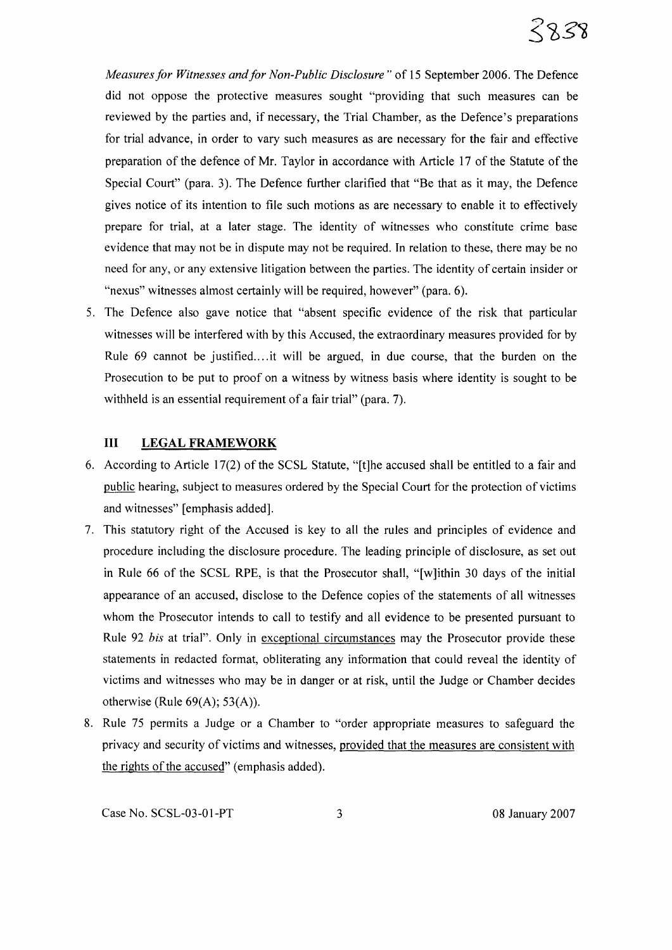

*Measures for Witnesses and for Non-Public Disclosure*" of 15 September 2006. The Defence did not oppose the protective measures sought "providing that such measures can be reviewed by the parties and, if necessary, the Trial Chamber, as the Defence's preparations for trial advance, in order to vary such measures as are necessary for the fair and effective preparation of the defence of Mr. Taylor in accordance with Article 17 of the Statute of the Special Court" (para. 3). The Defence further clarified that "Be that as it may, the Defence gives notice of its intention to file such motions as are necessary to enable it to effectively prepare for trial, at a later stage. The identity of witnesses who constitute crime base evidence that may not be in dispute may not be required. **In** relation to these, there may be no need for any, or any extensive litigation between the parties. The identity of certain insider or "nexus" witnesses almost certainly will be required, however" (para. 6).

5. The Defence also gave notice that "absent specific evidence of the risk that particular witnesses will be interfered with by this Accused, the extraordinary measures provided for by Rule 69 cannot be justified.... it will be argued, in due course, that the burden on the Prosecution to be put to proof on a witness by witness basis where identity is sought to be withheld is an essential requirement of a fair trial" (para. 7).

# **III LEGAL FRAMEWORK**

- 6. According to Article 17(2) of the SCSL Statute, "[t]he accused shall be entitled to a fair and public hearing, subject to measures ordered by the Special Court for the protection of victims and witnesses" [emphasis added].
- 7. This statutory right of the Accused is key to all the rules and principles of evidence and procedure including the disclosure procedure. The leading principle of disclosure, as set out in Rule 66 of the SCSL RPE, is that the Prosecutor shall, "[w]ithin 30 days of the initial appearance of an accused, disclose to the Defence copies of the statements of all witnesses whom the Prosecutor intends to call to testify and all evidence to be presented pursuant to Rule 92 *bis* at trial". Only in exceptional circumstances may the Prosecutor provide these statements in redacted format, obliterating any information that could reveal the identity of victims and witnesses who may be in danger or at risk, until the Judge or Chamber decides otherwise (Rule  $69(A)$ ; 53(A)).
- 8. Rule 75 permits a Judge or a Chamber to "order appropriate measures to safeguard the privacy and security of victims and witnesses, provided that the measures are consistent with the rights of the accused" (emphasis added).

Case No. SCSL-03-01-PT 3 08 January 2007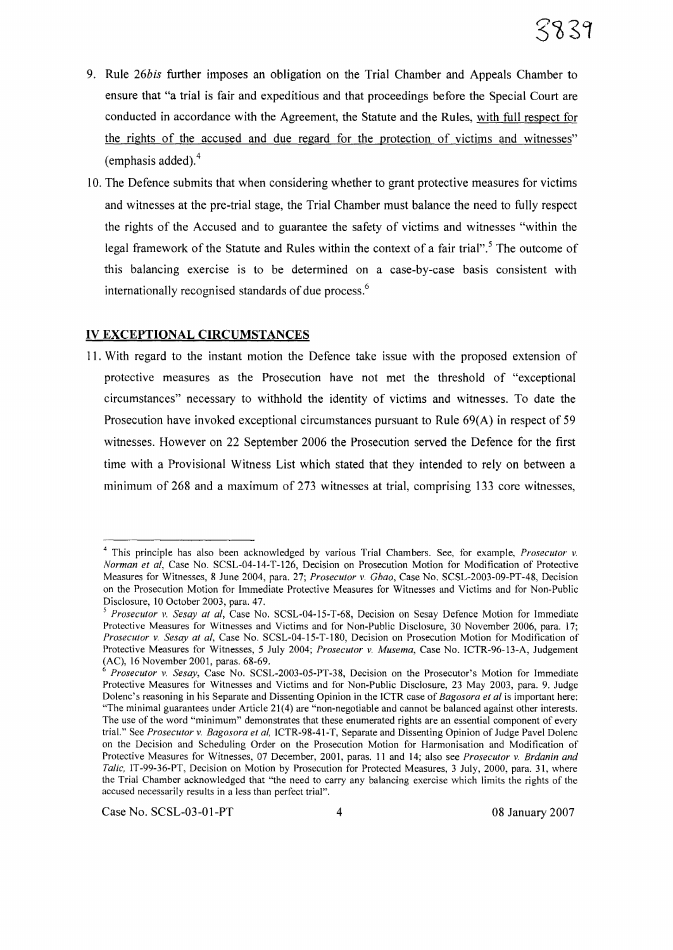- 9. Rule *26bis* further imposes an obligation on the Trial Chamber and Appeals Chamber to ensure that "a trial is fair and expeditious and that proceedings before the Special Court are conducted in accordance with the Agreement, the Statute and the Rules, with full respect for the rights of the accused and due regard for the protection of victims and witnesses" (emphasis added). $4$
- 10. The Defence submits that when considering whether to grant protective measures for victims and witnesses at the pre-trial stage, the Trial Chamber must balance the need to fully respect the rights of the Accused and to guarantee the safety of victims and witnesses "within the legal framework of the Statute and Rules within the context of a fair trial".<sup>5</sup> The outcome of this balancing exercise is to be determined on a case-by-case basis consistent with internationally recognised standards of due process.<sup>6</sup>

#### **IV EXCEPTIONAL CIRCUMSTANCES**

II. With regard to the instant motion the Defence take issue with the proposed extension of protective measures as the Prosecution have not met the threshold of "exceptional circumstances" necessary to withhold the identity of victims and witnesses. To date the Prosecution have invoked exceptional circumstances pursuant to Rule 69(A) in respect of 59 witnesses. However on 22 September 2006 the Prosecution served the Defence for the first time with a Provisional Witness List which stated that they intended to rely on between a minimum of 268 and a maximum of 273 witnesses at trial, comprising 133 core witnesses,

Case No. SCSL-03-01-PT 4 08 January 2007

<sup>4</sup> This principle has also been acknowledged by various Trial Chambers. See, for example, *Prosecutor* v. *Norman et ai,* Case No. SCSL-04-14-T-126, Decision on Prosecution Motion for Modification of Protective Measures for Witnesses, 8 June 2004, para. 27; *Prosecutor* v. *Chao,* Case No. SCSL-2003-09-PT-48, Decision on the Prosecution Motion for Immediate Protective Measures for Witnesses and Victims and for Non-Public Disclosure, 10 October 2003, para. 47.

*<sup>5</sup> Prosecutor* v. *Sesay at ai,* Case No. SCSL-04-15-T-68, Decision on Sesay Defence Motion for Immediate Protective Measures for Witnesses and Victims and for Non-Public Disclosure, 30 November 2006, para. 17; *Prosecutor* v. *Sesay at ai,* Case No. SCSL-04-15-T-180, Decision on Prosecution Motion for Modification of Protective Measures for Witnesses, 5 July 2004; *Prosecutor* v. *Musema,* Case No. ICTR-96-13-A, Judgement (AC), 16 November 2001, paras. 68-69.

<sup>6</sup> *Prosecutor* v. *Sesay,* Case No. SCSL-2003-05-PT-38, Decision on the Prosecutor's Motion for Immediate Protective Measures for Witnesses and Victims and for Non-Public Disclosure, 23 May 2003, para. 9. Judge Dolenc's reasoning in his Separate and Dissenting Opinion in the ICTR case of *Bagosora et al* is important here: "The minimal guarantees under Article 21(4) are "non-negotiable and cannot be balanced against other interests. The use of the word "minimum" demonstrates that these enumerated rights are an essential component of every trial." See *Prosecutor* v. *Bagosora et ai,* ICTR-98-41-T, Separate and Dissenting Opinion of Judge Pavel Dolenc on the Decision and Scheduling Order on the Prosecution Motion for Harmonisation and Modification of Protective Measures for Witnesses, 07 December, 2001, paras. 11 and 14; also see *Prosecutor* v. *Brdanin and Talic,* 1T-99-36-PT, Decision on Motion by Prosecution for Protected Measures, 3 July, 2000, para. 31, where the Trial Chamber acknowledged that "the need to carry any balancing exercise which limits the rights of the accused necessarily results in a less than perfect trial".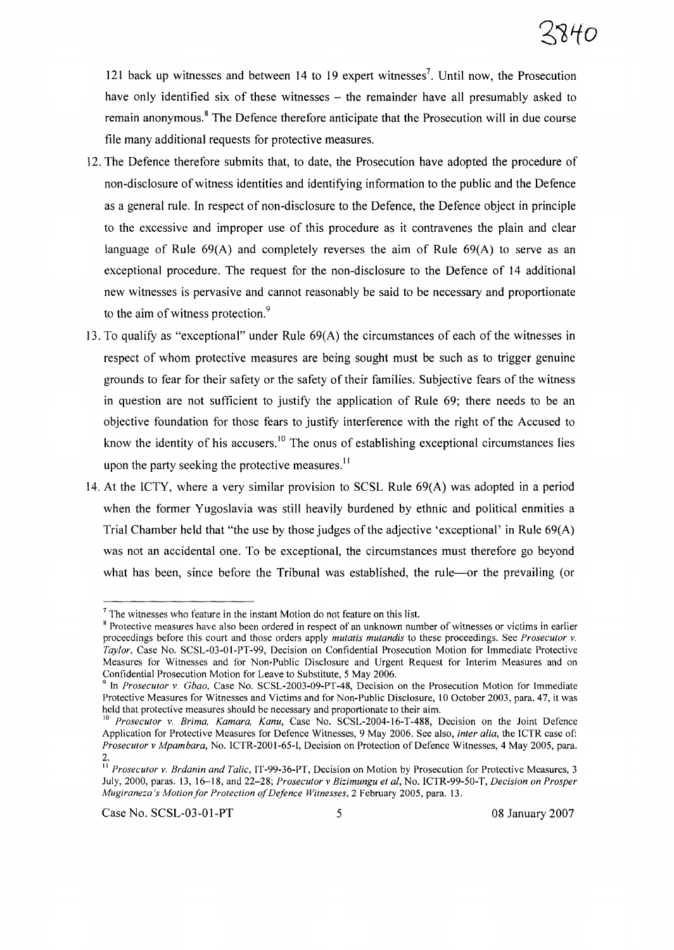121 back up witnesses and between 14 to 19 expert witnesses<sup>7</sup>. Until now, the Prosecution have only identified six of these witnesses – the remainder have all presumably asked to remain anonymous.<sup>8</sup> The Defence therefore anticipate that the Prosecution will in due course file many additional requests for protective measures.

- 12. The Defence therefore submits that, to date, the Prosecution have adopted the procedure of non-disclosure ofwitness identities and identifying information to the public and the Defence as a general rule. In respect of non-disclosure to the Defence, the Defence object in principle to the excessive and improper use of this procedure as it contravenes the plain and clear language of Rule 69(A) and completely reverses the aim of Rule 69(A) to serve as an exceptional procedure. The request for the non-disclosure to the Defence of 14 additional new witnesses is pervasive and cannot reasonably be said to be necessary and proportionate to the aim of witness protection.<sup>9</sup>
- 13. To qualify as "exceptional" under Rule 69(A) the circumstances of each of the witnesses in respect of whom protective measures are being sought must be such as to trigger genuine grounds to fear for their safety or the safety of their families. Subjective fears of the witness in question are not sufficient to justify the application of Rule 69; there needs to be an objective foundation for those fears to justify interference with the right of the Accused to know the identity of his accusers.<sup>10</sup> The onus of establishing exceptional circumstances lies upon the party seeking the protective measures. $<sup>11</sup>$ </sup>
- 14. At the ICTY, where a very similar provision to SCSL Rule 69(A) was adopted in a period when the former Yugoslavia was still heavily burdened by ethnic and political enmities a Trial Chamber held that "the use by those judges of the adjective 'exceptional' in Rule  $69(A)$ was not an accidental one. To be exceptional, the circumstances must therefore go beyond what has been, since before the Tribunal was established, the rule---or the prevailing (or

 $<sup>7</sup>$  The witnesses who feature in the instant Motion do not feature on this list.</sup>

<sup>&</sup>lt;sup>8</sup> Protective measures have also been ordered in respect of an unknown number of witnesses or victims in earlier proceedings before this court and those orders apply *mutatis mutandis* to these proceedings. See *Prosecutor v. Taylor,* Case No. SCSL-03-01-PT-99, Decision on Confidential Prosecution Motion for Immediate Protective Measures for Witnesses and for Non-Public Disclosure and Urgent Request for Interim Measures and on Confidential Prosecution Motion for Leave to Substitute, 5 May 2006.

<sup>9</sup> In *Prosecutor v. Cbao,* Case No. SCSL-2003-09-PT-48, Decision on the Prosecution Motion for Immediate Protective Measures for Witnesses and Victims and for Non-Public Disclosure, 10 October 2003, para. 47, it was held that protective measures should be necessary and proportionate to their aim.

<sup>10</sup> *Prosecutor v. Brima, Kamara, Kanu,* Case No. SCSL-2004-16-T-488, Decision on the Joint Defence Application for Protective Measures for Defence Witnesses, 9 May 2006. See also, *inter alia,* the ICTR case of: *Prosecutor v Mpambara,* No. ICTR-2001-65-I, Decision on Protection of Defence Witnesses, 4 May 2005, para. 2.

II *Prosecutor v. Brdanin and Talic,* IT-99-36-PT, Decision on Motion by Prosecution for Protective Measures, 3 July, 2000, paras. 13, 16-18, and 22-28; *Prosecutor v Bizimungu et aI,* No. lCTR-99-50-T, *Decision on Prosper Mugiraneza's Motionfor Protection ofDefence Witnesses,2* February 2005, para. 13.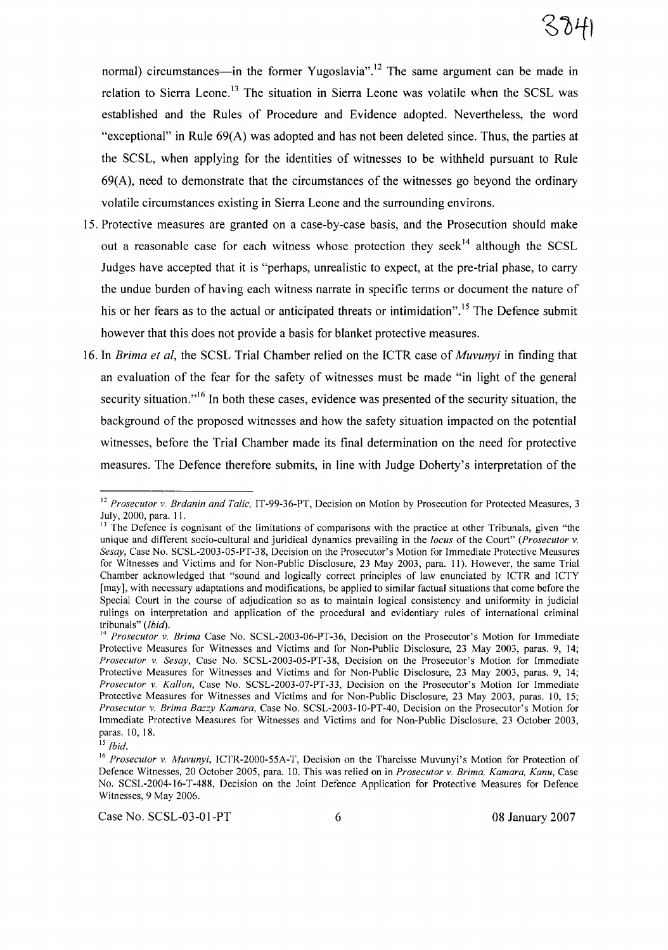normal) circumstances—in the former Yugoslavia".<sup>12</sup> The same argument can be made in relation to Sierra Leone.<sup>13</sup> The situation in Sierra Leone was volatile when the SCSL was established and the Rules of Procedure and Evidence adopted. Nevertheless, the word "exceptional" in Rule  $69(A)$  was adopted and has not been deleted since. Thus, the parties at the SCSL, when applying for the identities of witnesses to be withheld pursuant to Rule  $69(A)$ , need to demonstrate that the circumstances of the witnesses go beyond the ordinary volatile circumstances existing in Sierra Leone and the surrounding environs.

- 15. Protective measures are granted on a case-by-case basis, and the Prosecution should make out a reasonable case for each witness whose protection they seek<sup>14</sup> although the SCSL Judges have accepted that it is "perhaps, unrealistic to expect, at the pre-trial phase, to carry the undue burden of having each witness narrate in specific terms or document the nature of his or her fears as to the actual or anticipated threats or intimidation".<sup>15</sup> The Defence submit however that this does not provide a basis for blanket protective measures.
- 16. In *Brima et ai,* the SCSL Trial Chamber relied on the ICTR case of *Muvunyi* in finding that an evaluation of the fear for the safety of witnesses must be made "in light of the general security situation.<sup> $,16$ </sup> In both these cases, evidence was presented of the security situation, the background of the proposed witnesses and how the safety situation impacted on the potential witnesses, before the Trial Chamber made its final determination on the need for protective measures. The Defence therefore submits, in line with Judge Doherty's interpretation of the

Case No. SCSL-03-01-PT 6 08 January 2007

<sup>12</sup> *Prosecutor v. Brdanin and Talic,* IT-99-36-PT, Decision on Motion by Prosecution for Protected Measures, 3 July, 2000, para. 11.

<sup>&</sup>lt;sup>13</sup> The Defence is cognisant of the limitations of comparisons with the practice at other Tribunals, given "the unique and different socio-cultural and juridical dynamics prevailing in the *locus* of the Court" *(Prosecutor v. Sesay,* Case No. SCSL-2003-05-PT-38, Decision on the Prosecutor's Motion for Immediate Protective Measures for Witnesses and Victims and for Non-Public Disclosure, 23 May 2003, para. II). However, the same Trial Chamber acknowledged that "sound and logically correct principles of law enunciated by ICTR and ICTY [may], with necessary adaptations and modifications, be applied to similar factual situations that come before the Special Court in the course of adjudication so as to maintain logical consistency and uniformity in judicial rulings on interpretation and application of the procedural and evidentiary rules of international criminal tribunals" *(Ibid).*

<sup>&</sup>lt;sup>14</sup> *Prosecutor v. Brima* Case No. SCSL-2003-06-PT-36, Decision on the Prosecutor's Motion for Immediate Protective Measures for Witnesses and Victims and for Non-Public Disclosure, 23 May 2003, paras. 9, 14; *Prosecutor v. Sesay,* Case No. SCSL-2003-05-PT-38, Decision on the Prosecutor's Motion for Immediate Protective Measures for Witnesses and Victims and for Non-Public Disclosure, 23 May 2003, paras. 9, 14; *Prosecutor v. Kallon,* Case No. SCSL-2003-07-PT-33, Decision on the Prosecutor's Motion for Immediate Protective Measures for Witnesses and Victims and for Non-Public Disclosure, 23 May 2003, paras. 10, 15; *Prosecutor v. Brima Bazzy Kamara,* Case No. SCSL-2003-IO-PT-40, Decision on the Prosecutor's Motion for Immediate Protective Measures for Witnesses and Victims and for Non-Public Disclosure, 23 October 2003, paras. 10, 18.

<sup>15</sup> *Ibid.*

<sup>16</sup> *Prosecutor v. Muvunyi,* ICTR-2000-55A-T, Decision on the Tharcisse Muvunyi's Motion for Protection of Defence Witnesses, 20 October 2005, para. 10. This was relied on in *Prosecutor v. Brima, Kamara, Kanu,* Case No. SCSL-2004-16-T-488, Decision on the Joint Defence Application for Protective Measures for Defence Witnesses, 9 May 2006.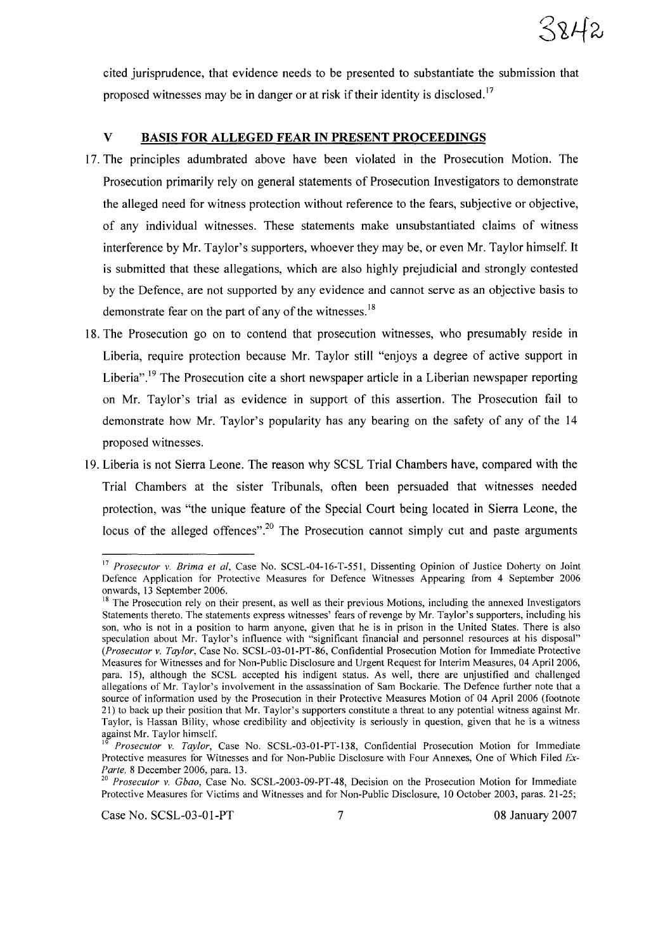

cited jurisprudence, that evidence needs to be presented to substantiate the submission that proposed witnesses may be in danger or at risk if their identity is disclosed.<sup>17</sup>

#### V BASIS FOR ALLEGED FEAR IN PRESENT PROCEEDINGS

- 17. The principles adumbrated above have been violated in the Prosecution Motion. The Prosecution primarily rely on general statements of Prosecution Investigators to demonstrate the alleged need for witness protection without reference to the fears, subjective or objective, of any individual witnesses. These statements make unsubstantiated claims of witness interference by Mr. Taylor's supporters, whoever they may be, or even Mr. Taylor himself. It is submitted that these allegations, which are also highly prejudicial and strongly contested by the Defence, are not supported by any evidence and cannot serve as an objective basis to demonstrate fear on the part of any of the witnesses.<sup>18</sup>
- 18. The Prosecution go on to contend that prosecution witnesses, who presumably reside in Liberia, require protection because Mr. Taylor still "enjoys a degree of active support in Liberia".<sup>19</sup> The Prosecution cite a short newspaper article in a Liberian newspaper reporting on Mr. Taylor's trial as evidence in support of this assertion. The Prosecution fail to demonstrate how Mr. Taylor's popularity has any bearing on the safety of any of the 14 proposed witnesses.
- 19. Liberia is not Sierra Leone. The reason why SCSL Trial Chambers have, compared with the Trial Chambers at the sister Tribunals, often been persuaded that witnesses needed protection, was "the unique feature of the Special Court being located in Sierra Leone, the locus of the alleged offences".<sup>20</sup> The Prosecution cannot simply cut and paste arguments

<sup>17</sup> *Prosecutor v. Brima et aI,* Case No. SCSL-04-16-T-551, Dissenting Opinion of Justice Doherty on Joint Defence Application for Protective Measures for Defence Witnesses Appearing from 4 September 2006 onwards, 13 September 2006.

<sup>&</sup>lt;sup>18</sup> The Prosecution rely on their present, as well as their previous Motions, including the annexed Investigators Statements thereto. The statements express witnesses' fears of revenge by Mr. Taylor's supporters, including his son, who is not in a position to harm anyone, given that he is in prison in the United States. There is also speculation about Mr. Taylor's influence with "significant financial and personnel resources at his disposal" *(Prosecutor v. Taylor,* Case No. SCSL-03-01-PT-86, Confidential Prosecution Motion for Immediate Protective Measures for Witnesses and for Non-Public Disclosure and Urgent Request for Interim Measures, 04 April 2006, para. 15), although the SCSL accepted his indigent status. As well, there are unjustified and challenged allegations of Mr. Taylor's involvement in the assassination of Sam Bockarie. The Defence further note that a source of information used by the Prosecution in their Protective Measures Motion of 04 April 2006 (footnote 21) to back up their position that Mr. Taylor's supporters constitute a threat to any potential witness against Mr. Taylor, is Hassan Bility, whose credibility and objectivity is seriously in question, given that he is a witness against Mr. Taylor himself.

<sup>19</sup> *Prosecutor v. Taylor,* Case No. SCSL-03-01-PT-138, Confidential Prosecution Motion for Immediate Protective measures for Witnesses and for Non-Public Disclosure with Four Annexes, One of Which Filed *Ex-Parte,* 8 December 2006, para. 13.

*<sup>20</sup> Prosecutor v. Gbao,* Case No. SCSL-2003-09-PT-48, Decision on the Prosecution Motion for Immediate Protective Measures for Victims and Witnesses and for Non-Public Disclosure, 10 October 2003, paras. 21-25;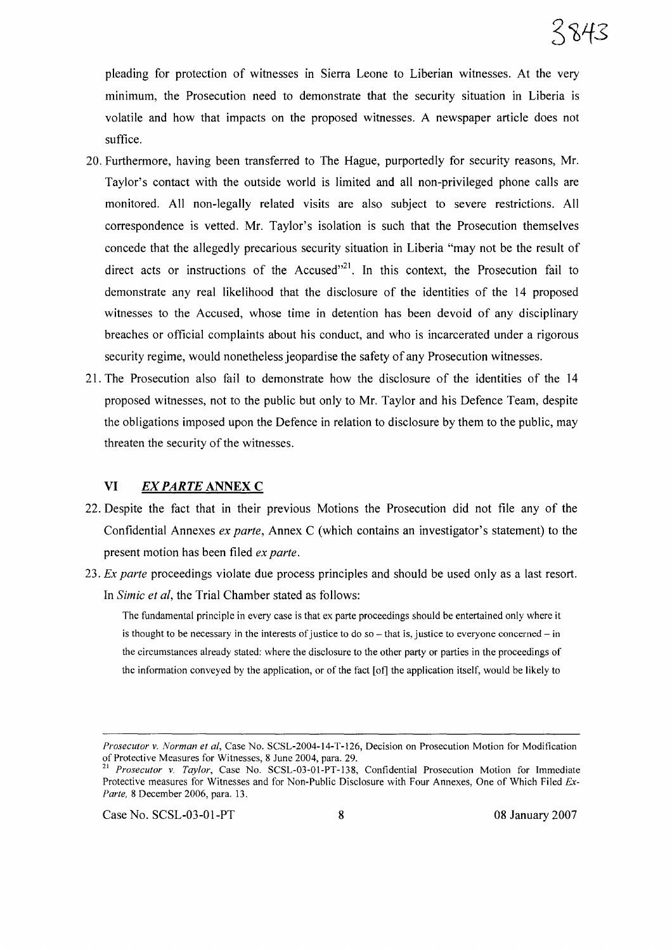pleading for protection of witnesses in Sierra Leone to Liberian witnesses. At the very minimum, the Prosecution need to demonstrate that the security situation in Liberia is volatile and how that impacts on the proposed witnesses. A newspaper article does not suffice.

- 20. Furthermore, having been transferred to The Hague, purportedly for security reasons, Mr. Taylor's contact with the outside world is limited and all non-privileged phone calls are monitored. All non-legally related visits are also subject to severe restrictions. All correspondence is vetted. Mr. Taylor's isolation is such that the Prosecution themselves concede that the allegedly precarious security situation in Liberia "may not be the result of direct acts or instructions of the Accused $^{221}$ . In this context, the Prosecution fail to demonstrate any real likelihood that the disclosure of the identities of the 14 proposed witnesses to the Accused, whose time in detention has been devoid of any disciplinary breaches or official complaints about his conduct, and who is incarcerated under a rigorous security regime, would nonetheless jeopardise the safety of any Prosecution witnesses.
- 21. The Prosecution also fail to demonstrate how the disclosure of the identities of the 14 proposed witnesses, not to the public but only to Mr. Taylor and his Defence Team, despite the obligations imposed upon the Defence in relation to disclosure by them to the public, may threaten the security of the witnesses.

#### VI *EXPARTE* ANNEX C

- 22. Despite the fact that in their previous Motions the Prosecution did not file any of the Confidential Annexes *ex parte,* Annex C (which contains an investigator's statement) to the present motion has been filed *ex parte.*
- *23. Ex parte* proceedings violate due process principles and should be used only as a last resort. In *Simic et ai,* the Trial Chamber stated as follows:

The fundamental principle in every case is that ex parte proceedings should be entertained only where it is thought to be necessary in the interests of justice to do so  $-$  that is, justice to everyone concerned  $-$  in the circumstances already stated: where the disclosure to the other party or parties in the proceedings of the information conveyed by the application, or of the fact [of] the application itself, would be likely to

Case No. SCSL-03-01-PT 8 08 January 2007

*Prosecutor v. Norman et aI,* Case No. SCSL-2004-14-T-126, Decision on Prosecution Motion for Modification of Protective Measures for Witnesses, 8 June 2004, para. 29.

<sup>21</sup> *Prosecutor v. Taylor,* Case No. SCSL-03-01-PT-138, Confidential Prosecution Motion for Immediate Protective measures for Witnesses and for Non-Public Disclosure with Four Annexes, One of Which Filed Ex-*Parte,* 8 December 2006, para. 13.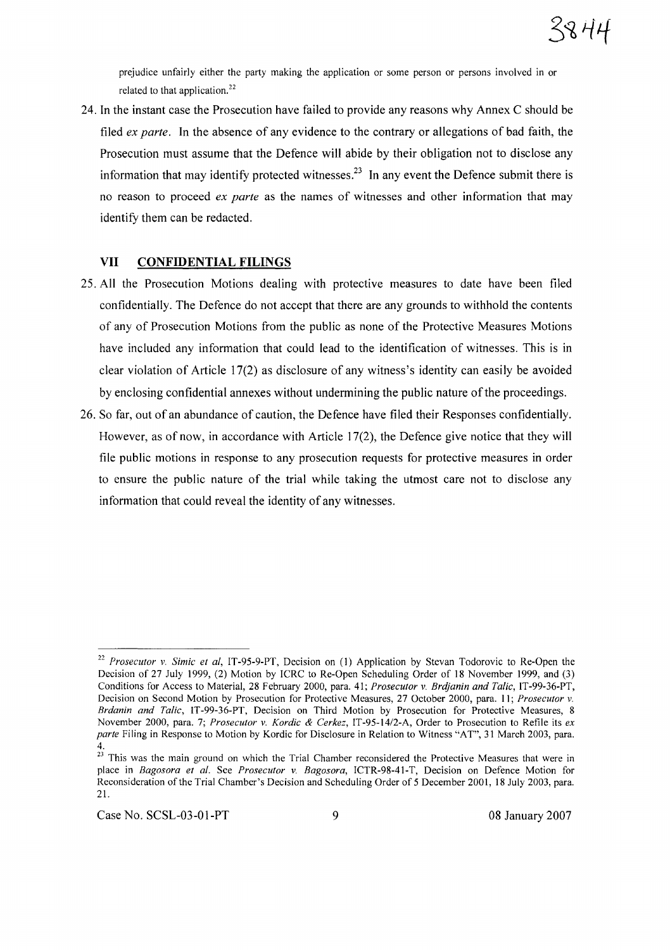

prejudice unfairly either the party making the application or some person or persons involved in or related to that application.<sup>22</sup>

24. In the instant case the Prosecution have failed to provide any reasons why Annex C should be filed *ex parte.* In the absence of any evidence to the contrary or allegations of bad faith, the Prosecution must assume that the Defence will abide by their obligation not to disclose any information that may identify protected witnesses.<sup>23</sup> In any event the Defence submit there is no reason to proceed *ex parte* as the names of witnesses and other information that may identify them can be redacted.

## **VII CONFIDENTIAL FILINGS**

- 25. All the Prosecution Motions dealing with protective measures to date have been filed confidentially. The Defence do not accept that there are any grounds to withhold the contents of any of Prosecution Motions from the public as none of the Protective Measures Motions have included any information that could lead to the identification of witnesses. This is in clear violation of Article 17(2) as disclosure of any witness's identity can easily be avoided by enclosing confidential annexes without undermining the public nature of the proceedings.
- 26. So far, out of an abundance of caution, the Defence have filed their Responses confidentially. However, as of now, in accordance with Article 17(2), the Defence give notice that they will file public motions in response to any prosecution requests for protective measures in order to ensure the public nature of the trial while taking the utmost care not to disclose any information that could reveal the identity of any witnesses.

*<sup>22</sup> Prosecutor* v. *Simic et ai,* IT-95-9-PT, Decision on (1) Application by Stevan Todorovic to Re-Open the Decision of 27 July 1999, (2) Motion by ICRC to Re-Open Scheduling Order of 18 November 1999, and (3) Conditions for Access to Material, 28 February 2000, para. 41; *Prosecutor* v. *Brdjanin and Talic,* IT-99-36-PT, Decision on Second Motion by Prosecution for Protective Measures, 27 October 2000, para. I I; *Prosecutor* v. *Brdanin and Talic,* IT-99-36-PT, Decision on Third Motion by Prosecution for Protective Measures, 8 November 2000, para. 7; *Prosecutor* v. *Kordic* & *Cerkez,* IT-95-14/2-A, Order to Prosecution to Refile its *ex parte* Filing in Response to Motion by Kordic for Disclosure in Relation to Witness "AT", 31 March 2003, para. 4.

<sup>&</sup>lt;sup>23</sup> This was the main ground on which the Trial Chamber reconsidered the Protective Measures that were in place in *Bagosora et al.* See *Prosecutor* v. *Bagosora,* ICTR-98-41-T, Decision on Defence Motion for Reconsideration of the Trial Chamber's Decision and Scheduling Order of 5 December 2001, 18 July 2003, para. 21.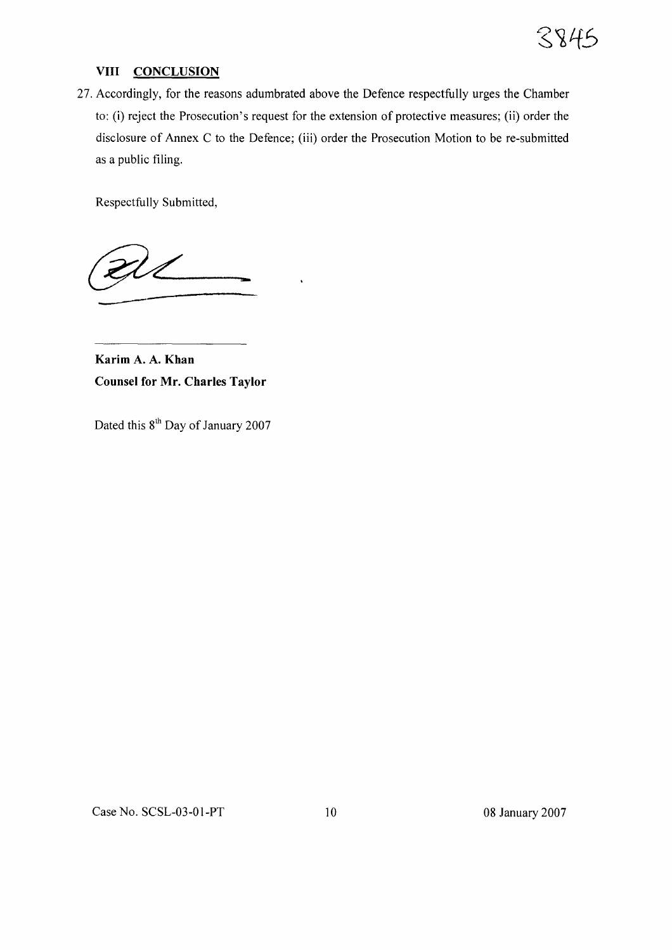

#### **VIII CONCLUSION**

27. Accordingly, for the reasons adumbrated above the Defence respectfully urges the Chamber to: (i) reject the Prosecution's request for the extension of protective measures; (ii) order the disclosure of Annex C to the Defence; (iii) order the Prosecution Motion to be re-submitted as a public filing.

Respectfully Submitted,

**---**

**Karim A. A. Khan Counsel for Mr. Charles Taylor**

Dated this 8<sup>th</sup> Day of January 2007

Case No. SCSL-03-01-PT 10 08 January 2007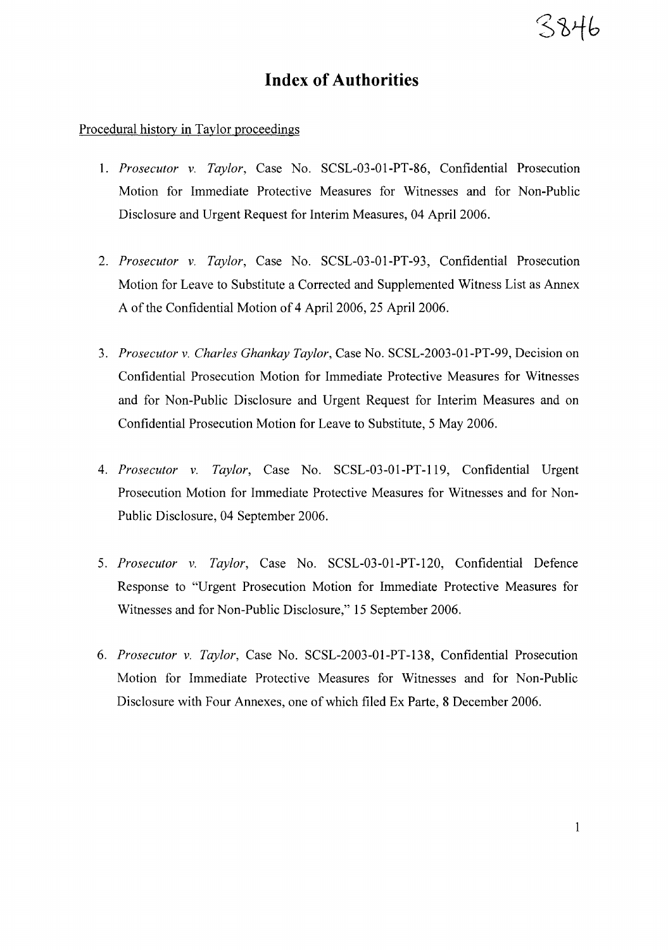# **Index of Authorities**

#### Procedural history **in** Taylor proceedings

- 1. *Prosecutor* v. *Taylor,* Case No. SCSL-03-01-PT-86, Confidential Prosecution Motion for Immediate Protective Measures for Witnesses and for Non-Public Disclosure and Urgent Request for Interim Measures, 04 April 2006.
- *2. Prosecutor* v. *Taylor,* Case No. SCSL-03-01-PT-93, Confidential Prosecution Motion for Leave to Substitute a Corrected and Supplemented Witness List as Annex A of the Confidential Motion of 4 April 2006, 25 April 2006.
- *3. Prosecutor* v. *Charles Ghankay Taylor,* Case No. SCSL-2003-01-PT-99, Decision on Confidential Prosecution Motion for Immediate Protective Measures for Witnesses and for Non-Public Disclosure and Urgent Request for Interim Measures and on Confidential Prosecution Motion for Leave to Substitute, 5 May 2006.
- *4. Prosecutor* v. *Taylor,* Case No. SCSL-03-01-PT-119, Confidential Urgent Prosecution Motion for Immediate Protective Measures for Witnesses and for Non-Public Disclosure, 04 September 2006.
- *5. Prosecutor* v. *Taylor,* Case No. SCSL-03-01-PT-120, Confidential Defence Response to "Urgent Prosecution Motion for Immediate Protective Measures for Witnesses and for Non-Public Disclosure," 15 September 2006.
- *6. Prosecutor* v. *Taylor,* Case No. SCSL-2003-01-PT-138, Confidential Prosecution Motion for Immediate Protective Measures for Witnesses and for Non-Public Disclosure with Four Annexes, one of which filed Ex Parte, 8 December 2006.

3846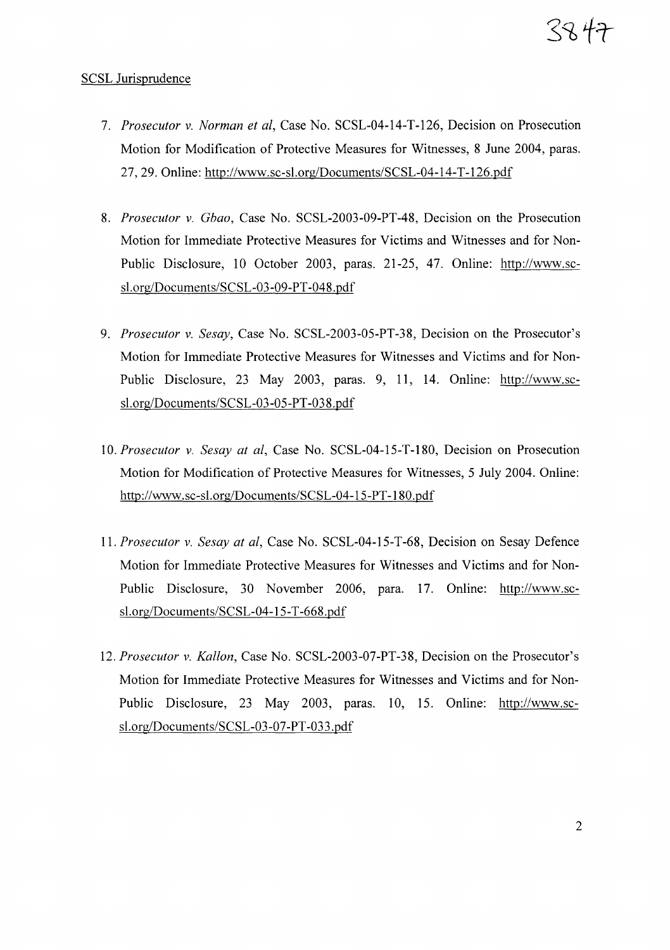# $33 + 7$

# SCSL Jurisprudence

- *7. Prosecutor* v. *Norman et ai,* Case No. SCSL-04-I4-T-I26, Decision on Prosecution Motion for Modification of Protective Measures for Witnesses, 8 June 2004, paras. 27, 29. Online: http://www.sc-sl.org/Documents/SCSL-04-14-T-126.pdf
- *8. Prosecutor* v. *Gbao,* Case No. SCSL-2003-09-PT-48, Decision on the Prosecution Motion for Immediate Protective Measures for Victims and Witnesses and for Non-Public Disclosure, 10 October 2003, paras. 21-25, 47. Online: http://www.scsl.org/Documents/SCSL-03-09-PT-048.pdf
- *9. Prosecutor* v. *Sesay,* Case No. SCSL-2003-05-PT-38, Decision on the Prosecutor's Motion for Immediate Protective Measures for Witnesses and Victims and for Non-Public Disclosure, 23 May 2003, paras. 9, 11, 14. Online: http://www.scsl.org/Documents/SCSL-03-05-PT-038.pdf
- *10. Prosecutor* v. *Sesay at ai,* Case No. SCSL-04-15-T-180, Decision on Prosecution Motion for Modification of Protective Measures for Witnesses, 5 July 2004. Online: http://www.sc-sl.org/Documents/SCSL-04-15-PT-180.pdf
- *11. Prosecutor* v. *Sesay at ai,* Case No. SCSL-04-I5-T-68, Decision on Sesay Defence Motion for Immediate Protective Measures for Witnesses and Victims and for Non-Public Disclosure, 30 November 2006, para. 17. Online: http://www.scsl.org/Documents/SCSL-04-15-T-668.pdf
- *12. Prosecutor* v. *Kallon,* Case No. SCSL-2003-07-PT-38, Decision on the Prosecutor's Motion for Immediate Protective Measures for Witnesses and Victims and for Non-Public Disclosure, 23 May 2003, paras. 10, 15. Online: http://www.scsl.org/Documents/SCSL-O3-07-PT-033.pdf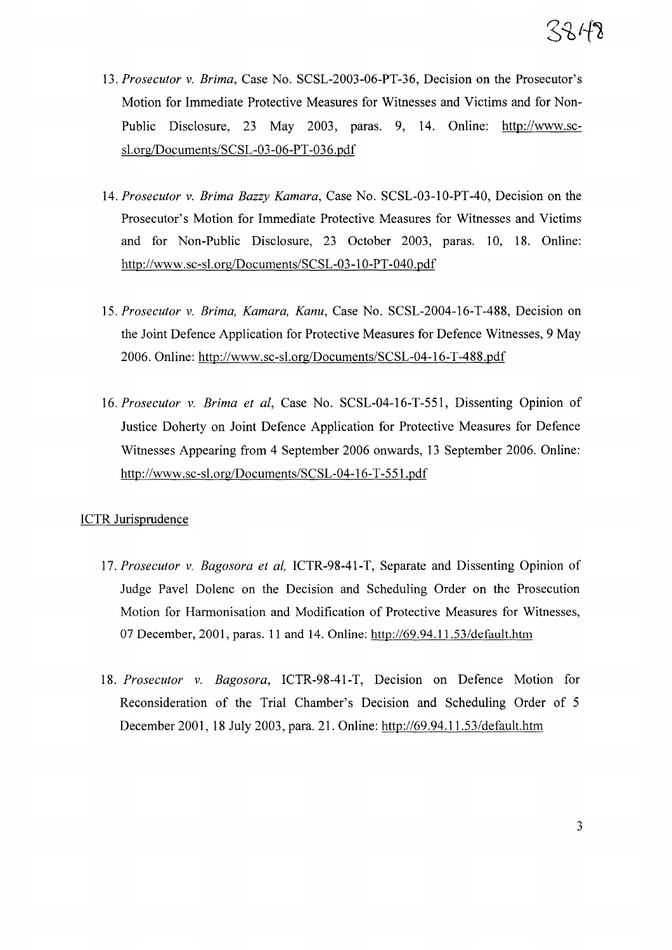- *13. Prosecutor* v. *Brima,* Case No. SCSL-2003-06-PT-36, Decision on the Prosecutor's Motion for Immediate Protective Measures for Witnesses and Victims and for Non-Public Disclosure, 23 May 2003, paras. 9, 14. Online: http://www.scsl.org/Documents/SCSL-03-06-PT-036.pdf
- *14. Prosecutor* v. *Brima Bazzy Kamara,* Case No. SCSL-03-10-PT-40, Decision on the Prosecutor's Motion for Immediate Protective Measures for Witnesses and Victims and for Non-Public Disclosure, 23 October 2003, paras. 10, 18. Online: http://www.sc-sl.org/Documents/SCSL-03-10-PT-040.pdf
- *15. Prosecutor* v. *Brima, Kamara, Kanu,* Case No. SCSL-2004-16-T-488, Decision on the Joint Defence Application for Protective Measures for Defence Witnesses, 9 May 2006. Online: http://www.sc-sl.org/Documents/SCSL-04-16-T-488.pdf
- *16. Prosecutor* v. *Brima et ai,* Case No. SCSL-04-16-T-551, Dissenting Opinion of Justice Doherty on Joint Defence Application for Protective Measures for Defence Witnesses Appearing from 4 September 2006 onwards, 13 September 2006. Online: http://www.sc-sl.org/Documents/SCSL-04-16-T-551.pdf

### ICTR Jurisprudence

- *17. Prosecutor* v. *Bagosora et ai,* ICTR-98-41-T, Separate and Dissenting Opinion of Judge Pavel Dolenc on the Decision and Scheduling Order on the Prosecution Motion for Harmonisation and Modification of Protective Measures for Witnesses, 07 December, 2001, paras. 11 and 14. Online: http://69.94.11.53/default.htm
- *18. Prosecutor* v. *Bagosora,* ICTR-98-41-T, Decision on Defence Motion for Reconsideration of the Trial Chamber's Decision and Scheduling Order of 5 December 2001, 18 July 2003, para. 21. Online: http://69.94.11.53/default.htm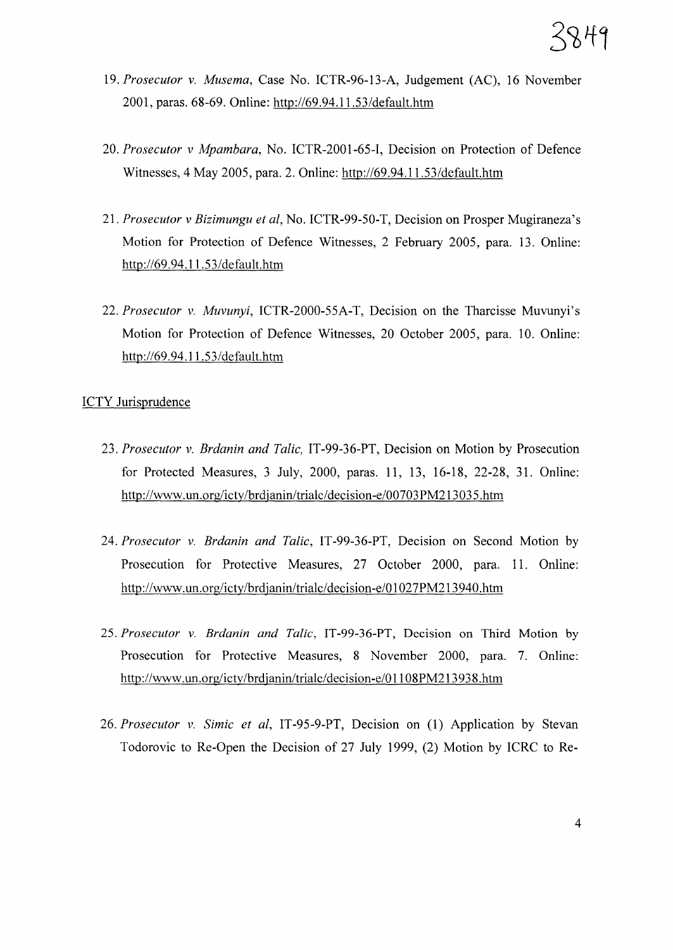- *19. Prosecutor* v. *Musema,* Case No. ICTR-96-13-A, Judgement (AC), 16 November 2001, paras. 68-69. Online: http://69.94.11.53/default.htm
- *20. Prosecutor* v *Mpambara,* No. ICTR-200l-65-I, Decision on Protection of Defence Witnesses, 4 May 2005, para. 2. Online: http://69.94.l1.53/default.htm
- *21. Prosecutor* v *Bizimungu et ai,* No. ICTR-99-50-T, Decision on Prosper Mugiraneza's Motion for Protection of Defence Witnesses, 2 February 2005, para. 13. Online: http://69.94.11.53/default.htm
- *22. Prosecutor* v. *Muvunyi,* ICTR-2000-55A-T, Decision on the Tharcisse Muvunyi's Motion for Protection of Defence Witnesses, 20 October 2005, para. 10. Online: http://69.94.11.53/default.htm

### ICTY Jurisprudence

- *23. Prosecutor* v. *Brdanin and Talic,* IT-99-36-PT, Decision on Motion by Prosecution for Protected Measures, 3 July, 2000, paras. 11, 13, 16-18, 22-28, 31. Online: http://www.un.org/icty/brdjanin/trialc/decision-e/00703PM213035.htm
- *24. Prosecutor* v. *Brdanin and Talic,* IT-99-36-PT, Decision on Second Motion by Prosecution for Protective Measures, 27 October 2000, para. 11. Online: http://www.un.org/icty/brdjanin/trialc/decision-e/Ol027PM213940.htm
- *25. Prosecutor* v. *Brdanin and Talic,* IT-99-36-PT, Decision on Third Motion by Prosecution for Protective Measures, 8 November 2000, para. 7. Online: http://www.un.org/icty/brdjanin/trialc/decision-e/Ol108PM213938.htm
- *26. Prosecutor* v. *Simic et ai,* IT-95-9-PT, Decision on (1) Application by Stevan Todorovic to Re-Open the Decision of 27 July 1999, (2) Motion by ICRC to Re-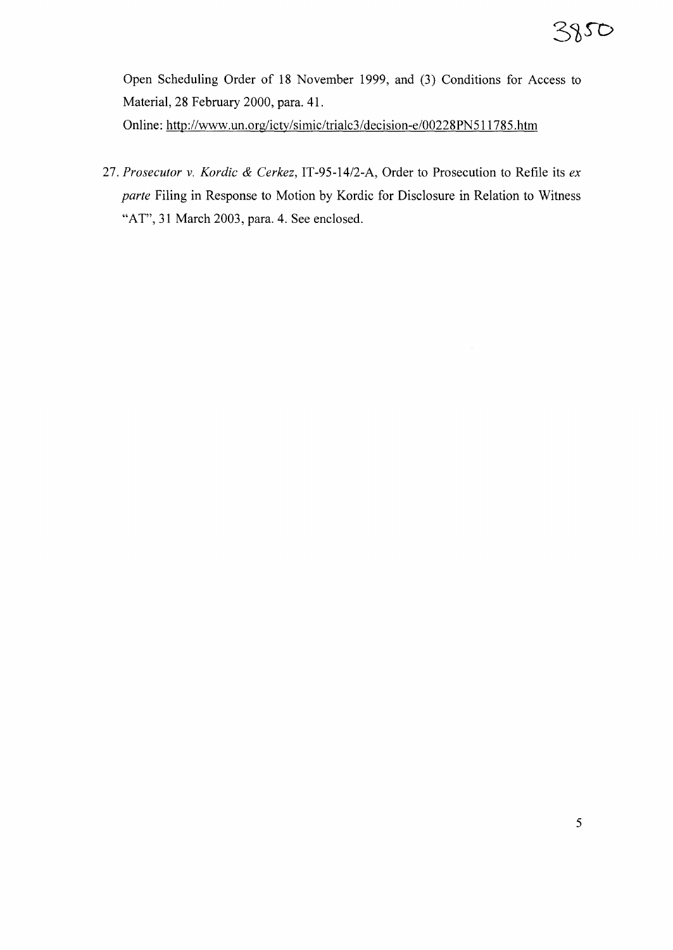Open Scheduling Order of 18 November 1999, and (3) Conditions for Access to Material, 28 February 2000, para. 41. Online: http://www.un.org/icty/simic/trialc3/decision-e/00228PN5ll785.htm

*27. Prosecutor* v. *Kordic* & *Cerkez,* IT-95-14/2-A, Order to Prosecution to Refile its *ex parte* Filing in Response to Motion by Kordic for Disclosure in Relation to Witness "AT", 31 March 2003, para. 4. See enclosed.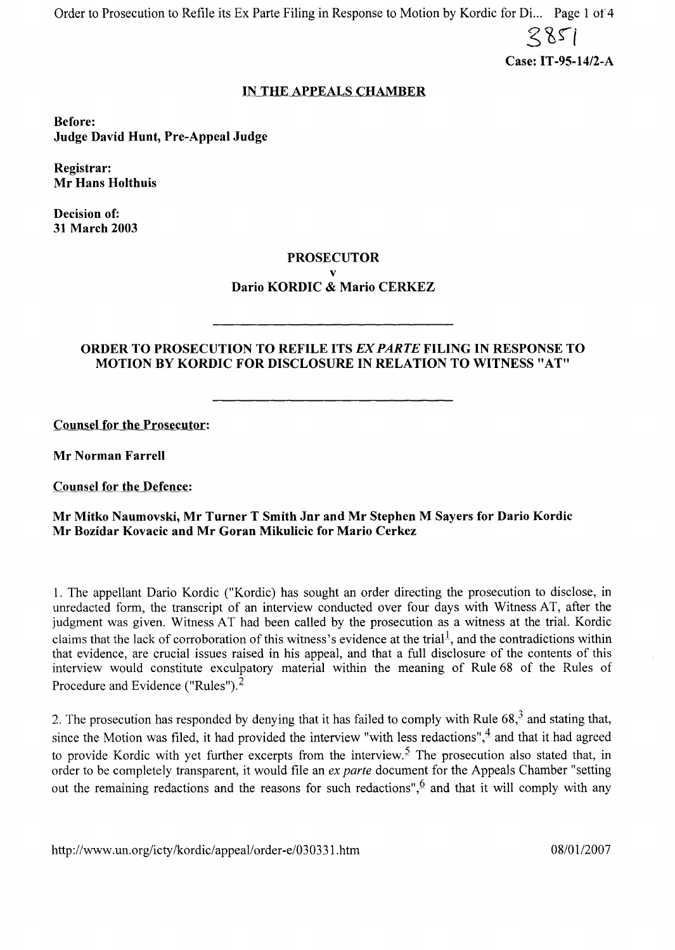Order to Prosecution to Refile its Ex Parte Filing in Response to Motion by Kordic for Di... Page 1 of 4

 $285$ 

Case: **IT**-95-14/2-A

# IN THE APPEALS CHAMBER

Before: Judge David Hunt, Pre-Appeal Judge

Registrar: Mr Hans Holthuis

Decision of: 31 March 2003

### PROSECUTOR

# v

# Dario KORDIC & Mario CERKEZ

# ORDER TO PROSECUTION TO REFILE ITS EX PARTE FILING IN RESPONSE TO MOTION BY KORDIC FOR DISCLOSURE IN RELATION TO WITNESS"AT"

Counsel for the Prosecutor:

Mr Norman Farrell

Counsel for the Defence:

#### Mr Mitko Naumovski, Mr Turner T Smith Jnr and Mr Stephen M Sayers for Dario Kordic Mr Bozidar Kovacic and Mr Goran Mikulicic for Mario Cerkez

1. The appellant Dario Kordic ("Kordic) has sought an order directing the prosecution to disclose, in umedacted form, the transcript of an interview conducted over four days with Witness AT, after the judgment was given. Witness AT had been called by the prosecution as a witness at the trial. Kordic claims that the lack of corroboration of this witness's evidence at the trial<sup>1</sup>, and the contradictions within that evidence, are crucial issues raised in his appeal, and that a full disclosure of the contents of this interview would constitute exculpatory material within the meaning of Rule 68 of the Rules of Procedure and Evidence ("Rules").<sup>2</sup>

2. The prosecution has responded by denying that it has failed to comply with Rule  $68<sup>3</sup>$  and stating that, since the Motion was filed, it had provided the interview "with less redactions",  $\frac{4}{7}$  and that it had agreed to provide Kordic with yet further excerpts from the interview.<sup>5</sup> The prosecution also stated that, in order to be completely transparent, it would file an *ex parte* document for the Appeals Chamber "setting out the remaining redactions and the reasons for such redactions",  $6$  and that it will comply with any

http://www.un.org/icty/kordic/appeal/order-e/030331.htm 08/01/2007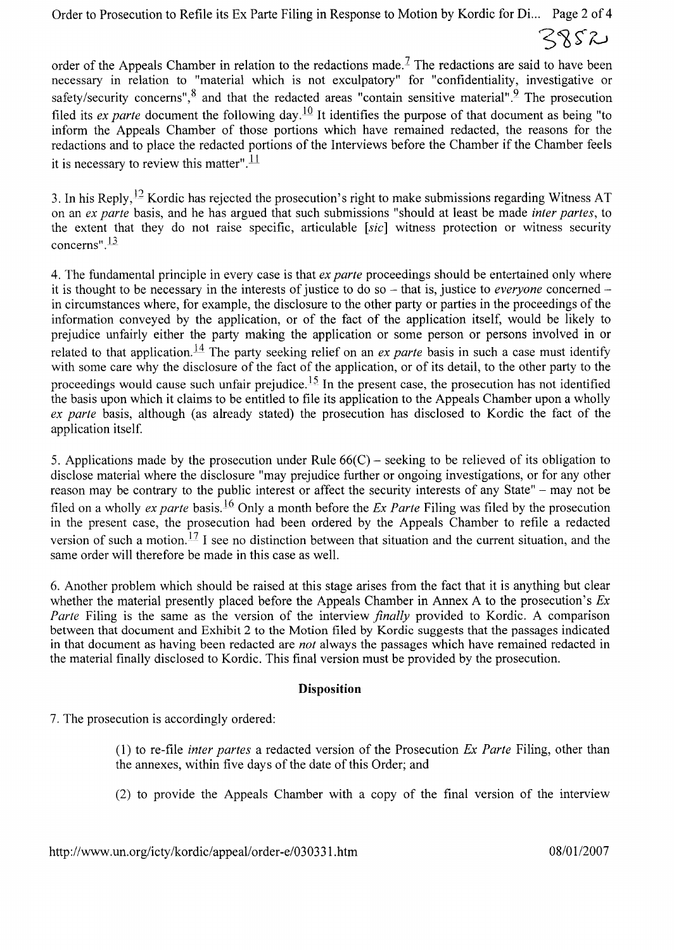Order to Prosecution to Refile its Ex Parte Filing in Response to Motion by Kordic for Di... Page 2 of 4

3852

order of the Appeals Chamber in relation to the redactions made.<sup>7</sup> The redactions are said to have been necessary in relation to "material which is not exculpatory" for "confidentiality, investigative or safety/security concerns",  $\frac{8}{3}$  and that the redacted areas "contain sensitive material". <sup>2</sup> The prosecution filed its *ex parte* document the following day.<sup>10</sup> It identifies the purpose of that document as being "to inform the Appeals Chamber of those portions which have remained redacted, the reasons for the redactions and to place the redacted portions of the Interviews before the Chamber if the Chamber feels it is necessary to review this matter".  $\frac{11}{11}$ 

3. In his Reply,  $^{12}$  Kordic has rejected the prosecution's right to make submissions regarding Witness AT on an *ex parte* basis, and he has argued that such submissions "should at least be made *inter partes,* to the extent that they do not raise specific, articulable *[sic]* witness protection or witness security concerns" $\frac{13}{1}$ 

4. The fundamental principle in every case is that *ex parte* proceedings should be entertained only where it is thought to be necessary in the interests of justice to do so – that is, justice to *everyone* concerned – in circumstances where, for example, the disclosure to the other party or parties in the proceedings of the information conveyed by the application, or of the fact of the application itself, would be likely to prejudice unfairly either the party making the application or some person or persons involved in or related to that application.<sup>14</sup> The party seeking relief on an *ex parte* basis in such a case must identify with some care why the disclosure of the fact of the application, or of its detail, to the other party to the proceedings would cause such unfair prejudice.<sup>15</sup> In the present case, the prosecution has not identified the basis upon which it claims to be entitled to file its application to the Appeals Chamber upon a wholly *ex parte* basis, although (as already stated) the prosecution has disclosed to Kordic the fact of the application itself.

5. Applications made by the prosecution under Rule  $66(C)$  – seeking to be relieved of its obligation to disclose material where the disclosure "may prejudice further or ongoing investigations, or for any other reason may be contrary to the public interest or affect the security interests of any State" - may not be filed on a wholly *ex parte* basis. 16 Only a month before the *Ex Parte* Filing was filed by the prosecution in the present case, the prosecution had been ordered by the Appeals Chamber to refile a redacted version of such a motion.  $\frac{17}{1}$  I see no distinction between that situation and the current situation, and the same order will therefore be made in this case as well.

6. Another problem which should be raised at this stage arises from the fact that it is anything but clear whether the material presently placed before the Appeals Chamber in Annex A to the prosecution's *Ex Parte* Filing is the same as the version of the interview *finally* provided to Kordic. A comparison between that document and Exhibit 2 to the Motion filed by Kordic suggests that the passages indicated in that document as having been redacted are *not* always the passages which have remained redacted in the material finally disclosed to Kordic. This final version must be provided by the prosecution.

# **Disposition**

7. The prosecution is accordingly ordered:

- (1) to re-file *inter partes* a redacted version of the Prosecution *Ex Parte* Filing, other than the annexes, within five days of the date of this Order; and
- (2) to provide the Appeals Chamber with a copy of the final version of the interview

http://www.un.org/icty/kordic/appeal/order-e/030331.htm 08/01/2007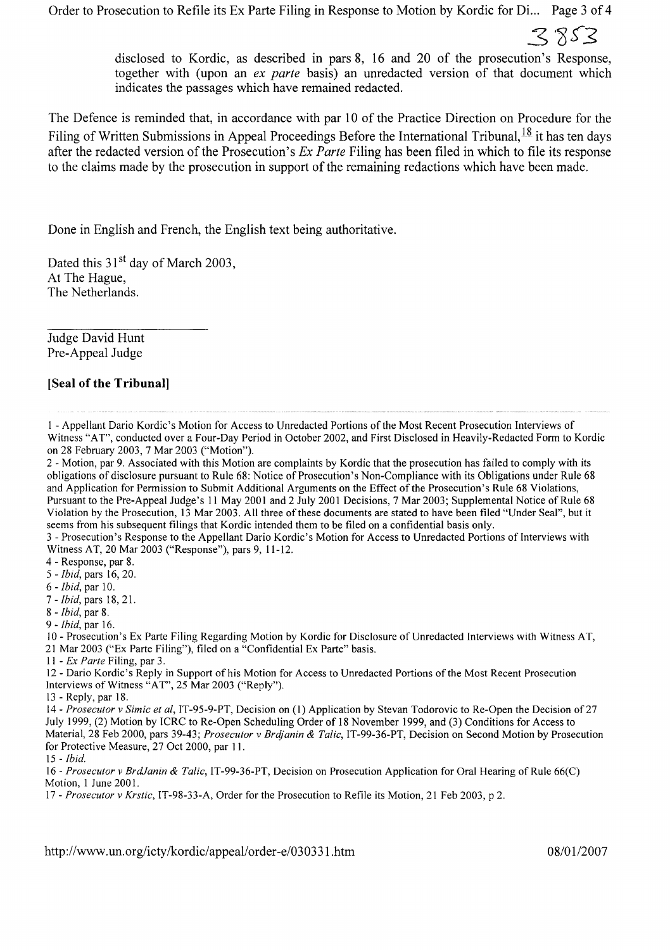Order to Prosecution to Refile its Ex Parte Filing in Response to Motion by Kordic for Di... Page 3 of 4

 $3853$ 

disclosed to Kordic, as described in pars 8, 16 and 20 of the prosecution's Response, together with (upon an *ex parte* basis) an unredacted version of that document which indicates the passages which have remained redacted.

The Defence is reminded that, in accordance with par 10 of the Practice Direction on Procedure for the Filing of Written Submissions in Appeal Proceedings Before the International Tribunal,  $^{18}$  it has ten days after the redacted version ofthe Prosecution's *Ex Parte* Filing has been filed in which to file its response to the claims made by the prosecution in support of the remaining redactions which have been made.

Done in English and French, the English text being authoritative.

Dated this 31<sup>st</sup> day of March 2003. At The Hague, The Netherlands.

Judge David Hunt Pre-Appeal Judge

### **[Seal of the Tribunal]**

I - Appellant Dario Kordic's Motion for Access to Unredacted Portions ofthe Most Recent Prosecution Interviews of Witness "AT", conducted over a Four-Day Period in October 2002, and First Disclosed in Heavily-Redacted Form to Kordic on 28 February 2003, 7 Mar 2003 ("Motion").

2 - Motion, par 9. Associated with this Motion are complaints by Kordic that the prosecution has failed to comply with its obligations of disclosure pursuant to Rule 68: Notice of Prosecution's Non-Compliance with its Obligations under Rule 68 and Application for Permission to Submit Additional Arguments on the Effect of the Prosecution's Rule 68 Violations, Pursuant to the Pre-Appeal Judge's 11 May 2001 and 2 July 2001 Decisions, 7 Mar 2003; Supplemental Notice of Rule 68 Violation by the Prosecution, 13 Mar 2003. All three of these documents are stated to have been filed "Under Seal", but it seems from his subsequent filings that Kordic intended them to be filed on a confidential basis only.

3 - Prosecution's Response to the Appellant Dario Kordic's Motion for Access to Unredacted Portions of Interviews with Witness AT, 20 Mar 2003 ("Response"), pars 9, 11-12.

4 - Response, par 8.

5 - *Ibid,* pars 16,20.

6 - *Ibid,* par 10.

7 - *Ibid,* pars 18, 21.

8 - *Ibid,* par 8.

9 - *Ibid,* par 16.

10 - Prosecution's Ex Parte Filing Regarding Motion by Kordic for Disclosure ofUnredacted Interviews with Witness AT, 21 Mar 2003 ("Ex Parte Filing"), filed on a "Confidential Ex Parte" basis.

II - *Ex Parte* Filing, par 3.

12 - Dario Kordic's Reply in Support of his Motion for Access to Unredacted Portions ofthe Most Recent Prosecution Interviews of Witness "AT", 25 Mar 2003 ("Reply").

13 - Reply, par 18.

14 - *Prosecutor* v *Simic et ai,* 1T-9S-9-PT, Decision on (I) Application by Stevan Todorovic to Re-Open the Decision of27 July 1999, (2) Motion by ICRC to Re-Open Scheduling Order of 18 November 1999, and (3) Conditions for Access to Material, 28 Feb 2000, pars 39-43; *Prosecutor* v *Brdjanin* & *Talic,* 1T-99-36-PT, Decision on Second Motion by Prosecution for Protective Measure, 27 Oct 2000, par 11.

*15 -Ibid.*

16 - *Prosecutor* v *BrdJanin* & *Talic,* IT-99-36-PT, Decision on Prosecution Application for Oral Hearing of Rule 66(C) Motion, 1 June 2001.

17 - *Prosecutor* v *Krstic,* IT-98-33-A, Order for the Prosecution to Refile its Motion, 21 Feb 2003, p 2.

http://www.un.org/icty/kordic/appeal/order-e/030331.htm 08/01/2007